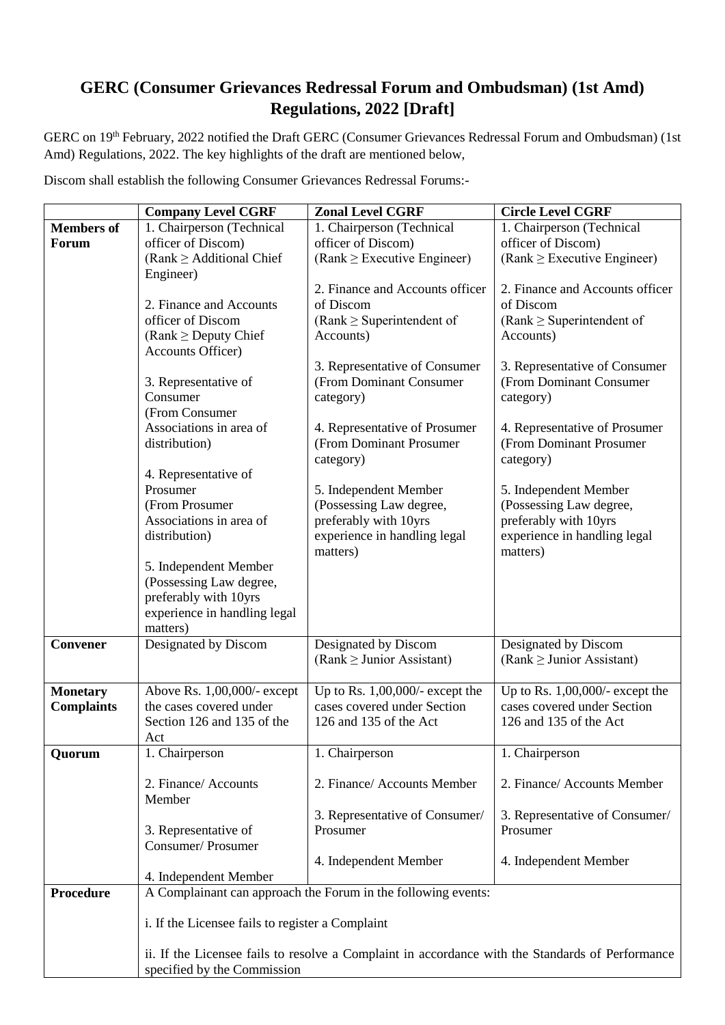## **GERC (Consumer Grievances Redressal Forum and Ombudsman) (1st Amd) Regulations, 2022 [Draft]**

GERC on 19th February, 2022 notified the Draft GERC (Consumer Grievances Redressal Forum and Ombudsman) (1st Amd) Regulations, 2022. The key highlights of the draft are mentioned below,

| Discom shall establish the following Consumer Grievances Redressal Forums:- |
|-----------------------------------------------------------------------------|
|-----------------------------------------------------------------------------|

|                   | <b>Company Level CGRF</b>                        | <b>Zonal Level CGRF</b>                                                                          | <b>Circle Level CGRF</b>                   |
|-------------------|--------------------------------------------------|--------------------------------------------------------------------------------------------------|--------------------------------------------|
| <b>Members</b> of | 1. Chairperson (Technical                        | 1. Chairperson (Technical                                                                        | 1. Chairperson (Technical                  |
| Forum             | officer of Discom)                               | officer of Discom)                                                                               | officer of Discom)                         |
|                   | (Rank $\geq$ Additional Chief                    | $(Rank \geq Executive$ Executive Engineer)                                                       | $(Rank \geq Executive$ Executive Engineer) |
|                   | Engineer)                                        |                                                                                                  |                                            |
|                   |                                                  | 2. Finance and Accounts officer                                                                  | 2. Finance and Accounts officer            |
|                   | 2. Finance and Accounts                          | of Discom                                                                                        | of Discom                                  |
|                   | officer of Discom                                | (Rank $\geq$ Superintendent of                                                                   | (Rank $\geq$ Superintendent of             |
|                   | (Rank $\geq$ Deputy Chief                        | Accounts)                                                                                        | Accounts)                                  |
|                   | <b>Accounts Officer)</b>                         |                                                                                                  |                                            |
|                   |                                                  | 3. Representative of Consumer                                                                    | 3. Representative of Consumer              |
|                   | 3. Representative of                             | (From Dominant Consumer                                                                          | (From Dominant Consumer                    |
|                   | Consumer                                         | category)                                                                                        | category)                                  |
|                   | (From Consumer                                   |                                                                                                  |                                            |
|                   | Associations in area of                          | 4. Representative of Prosumer                                                                    | 4. Representative of Prosumer              |
|                   | distribution)                                    | (From Dominant Prosumer                                                                          | (From Dominant Prosumer                    |
|                   |                                                  | category)                                                                                        | category)                                  |
|                   | 4. Representative of                             |                                                                                                  |                                            |
|                   | Prosumer                                         | 5. Independent Member                                                                            | 5. Independent Member                      |
|                   | (From Prosumer                                   | (Possessing Law degree,                                                                          | (Possessing Law degree,                    |
|                   | Associations in area of                          | preferably with 10yrs                                                                            | preferably with 10yrs                      |
|                   | distribution)                                    | experience in handling legal                                                                     | experience in handling legal               |
|                   |                                                  | matters)                                                                                         | matters)                                   |
|                   | 5. Independent Member                            |                                                                                                  |                                            |
|                   | (Possessing Law degree,                          |                                                                                                  |                                            |
|                   | preferably with 10yrs                            |                                                                                                  |                                            |
|                   | experience in handling legal                     |                                                                                                  |                                            |
|                   | matters)                                         |                                                                                                  |                                            |
| <b>Convener</b>   | Designated by Discom                             | Designated by Discom                                                                             | Designated by Discom                       |
|                   |                                                  | (Rank $\geq$ Junior Assistant)                                                                   | (Rank $\geq$ Junior Assistant)             |
|                   |                                                  |                                                                                                  |                                            |
| <b>Monetary</b>   | Above Rs. 1,00,000/- except                      | Up to Rs. $1,00,000/$ - except the                                                               | Up to Rs. $1,00,000/$ - except the         |
| <b>Complaints</b> | the cases covered under                          | cases covered under Section                                                                      | cases covered under Section                |
|                   | Section 126 and 135 of the                       | 126 and 135 of the Act                                                                           | 126 and 135 of the Act                     |
|                   | Act                                              |                                                                                                  |                                            |
| Quorum            | 1. Chairperson                                   | 1. Chairperson                                                                                   | 1. Chairperson                             |
|                   |                                                  |                                                                                                  |                                            |
|                   | 2. Finance/ Accounts                             | 2. Finance/ Accounts Member                                                                      | 2. Finance/ Accounts Member                |
|                   | Member                                           |                                                                                                  |                                            |
|                   |                                                  | 3. Representative of Consumer/                                                                   | 3. Representative of Consumer/             |
|                   | 3. Representative of                             | Prosumer                                                                                         | Prosumer                                   |
|                   | Consumer/Prosumer                                |                                                                                                  |                                            |
|                   |                                                  | 4. Independent Member                                                                            | 4. Independent Member                      |
|                   | 4. Independent Member                            |                                                                                                  |                                            |
| <b>Procedure</b>  |                                                  | A Complainant can approach the Forum in the following events:                                    |                                            |
|                   |                                                  |                                                                                                  |                                            |
|                   | i. If the Licensee fails to register a Complaint |                                                                                                  |                                            |
|                   |                                                  |                                                                                                  |                                            |
|                   |                                                  | ii. If the Licensee fails to resolve a Complaint in accordance with the Standards of Performance |                                            |
|                   | specified by the Commission                      |                                                                                                  |                                            |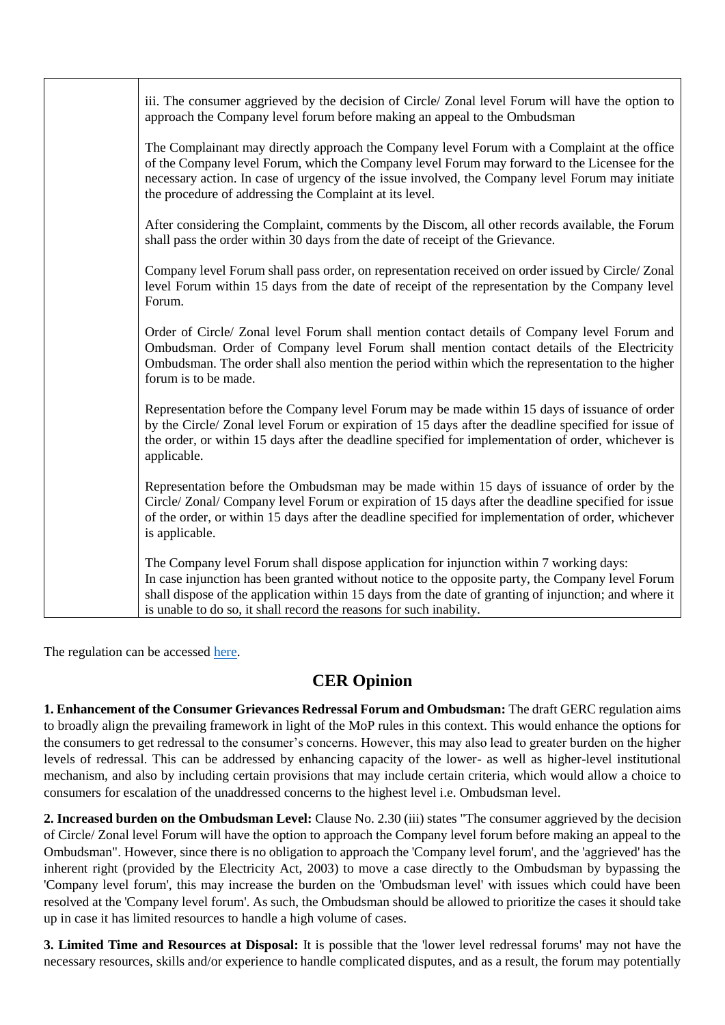| iii. The consumer aggrieved by the decision of Circle/ Zonal level Forum will have the option to<br>approach the Company level forum before making an appeal to the Ombudsman                                                                                                                                                                                                |
|------------------------------------------------------------------------------------------------------------------------------------------------------------------------------------------------------------------------------------------------------------------------------------------------------------------------------------------------------------------------------|
| The Complainant may directly approach the Company level Forum with a Complaint at the office<br>of the Company level Forum, which the Company level Forum may forward to the Licensee for the<br>necessary action. In case of urgency of the issue involved, the Company level Forum may initiate<br>the procedure of addressing the Complaint at its level.                 |
| After considering the Complaint, comments by the Discom, all other records available, the Forum<br>shall pass the order within 30 days from the date of receipt of the Grievance.                                                                                                                                                                                            |
| Company level Forum shall pass order, on representation received on order issued by Circle/Zonal<br>level Forum within 15 days from the date of receipt of the representation by the Company level<br>Forum.                                                                                                                                                                 |
| Order of Circle/ Zonal level Forum shall mention contact details of Company level Forum and<br>Ombudsman. Order of Company level Forum shall mention contact details of the Electricity<br>Ombudsman. The order shall also mention the period within which the representation to the higher<br>forum is to be made.                                                          |
| Representation before the Company level Forum may be made within 15 days of issuance of order<br>by the Circle/ Zonal level Forum or expiration of 15 days after the deadline specified for issue of<br>the order, or within 15 days after the deadline specified for implementation of order, whichever is<br>applicable.                                                   |
| Representation before the Ombudsman may be made within 15 days of issuance of order by the<br>Circle/ Zonal/ Company level Forum or expiration of 15 days after the deadline specified for issue<br>of the order, or within 15 days after the deadline specified for implementation of order, whichever<br>is applicable.                                                    |
| The Company level Forum shall dispose application for injunction within 7 working days:<br>In case injunction has been granted without notice to the opposite party, the Company level Forum<br>shall dispose of the application within 15 days from the date of granting of injunction; and where it<br>is unable to do so, it shall record the reasons for such inability. |

The regulation can be accessed [here.](https://cer.iitk.ac.in/odf_assets/upload_files/blog/GERC_Consumer_Grievances_Redressal_Forum_and_Ombudsman_1st_Amd_Regulations_2022.pdf)

## **CER Opinion**

**1. Enhancement of the Consumer Grievances Redressal Forum and Ombudsman:** The draft GERC regulation aims to broadly align the prevailing framework in light of the MoP rules in this context. This would enhance the options for the consumers to get redressal to the consumer's concerns. However, this may also lead to greater burden on the higher levels of redressal. This can be addressed by enhancing capacity of the lower- as well as higher-level institutional mechanism, and also by including certain provisions that may include certain criteria, which would allow a choice to consumers for escalation of the unaddressed concerns to the highest level i.e. Ombudsman level.

**2. Increased burden on the Ombudsman Level:** Clause No. 2.30 (iii) states "The consumer aggrieved by the decision of Circle/ Zonal level Forum will have the option to approach the Company level forum before making an appeal to the Ombudsman". However, since there is no obligation to approach the 'Company level forum', and the 'aggrieved' has the inherent right (provided by the Electricity Act, 2003) to move a case directly to the Ombudsman by bypassing the 'Company level forum', this may increase the burden on the 'Ombudsman level' with issues which could have been resolved at the 'Company level forum'. As such, the Ombudsman should be allowed to prioritize the cases it should take up in case it has limited resources to handle a high volume of cases.

**3. Limited Time and Resources at Disposal:** It is possible that the 'lower level redressal forums' may not have the necessary resources, skills and/or experience to handle complicated disputes, and as a result, the forum may potentially